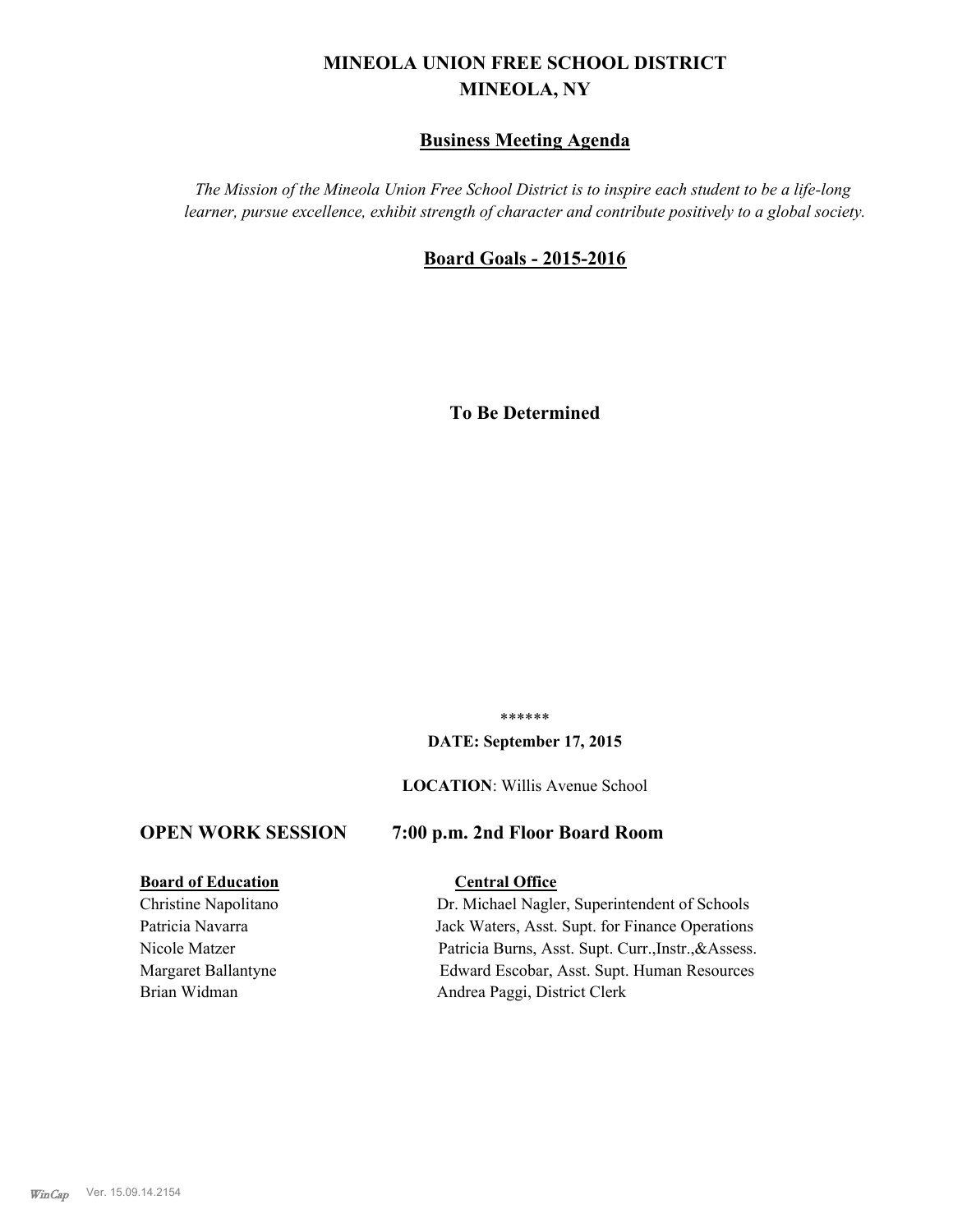# **MINEOLA UNION FREE SCHOOL DISTRICT MINEOLA, NY**

# **Business Meeting Agenda**

*The Mission of the Mineola Union Free School District is to inspire each student to be a life-long learner, pursue excellence, exhibit strength of character and contribute positively to a global society.*

# **Board Goals - 2015-2016**

**To Be Determined**

\*\*\*\*\*\*

#### **DATE: September 17, 2015**

#### **LOCATION**: Willis Avenue School

# **OPEN WORK SESSION 7:00 p.m. 2nd Floor Board Room**

#### **Board of Education Central Office**

Christine Napolitano Dr. Michael Nagler, Superintendent of Schools Patricia Navarra Jack Waters, Asst. Supt. for Finance Operations Nicole Matzer Patricia Burns, Asst. Supt. Curr.,Instr.,&Assess. Margaret Ballantyne Edward Escobar, Asst. Supt. Human Resources Brian Widman Andrea Paggi, District Clerk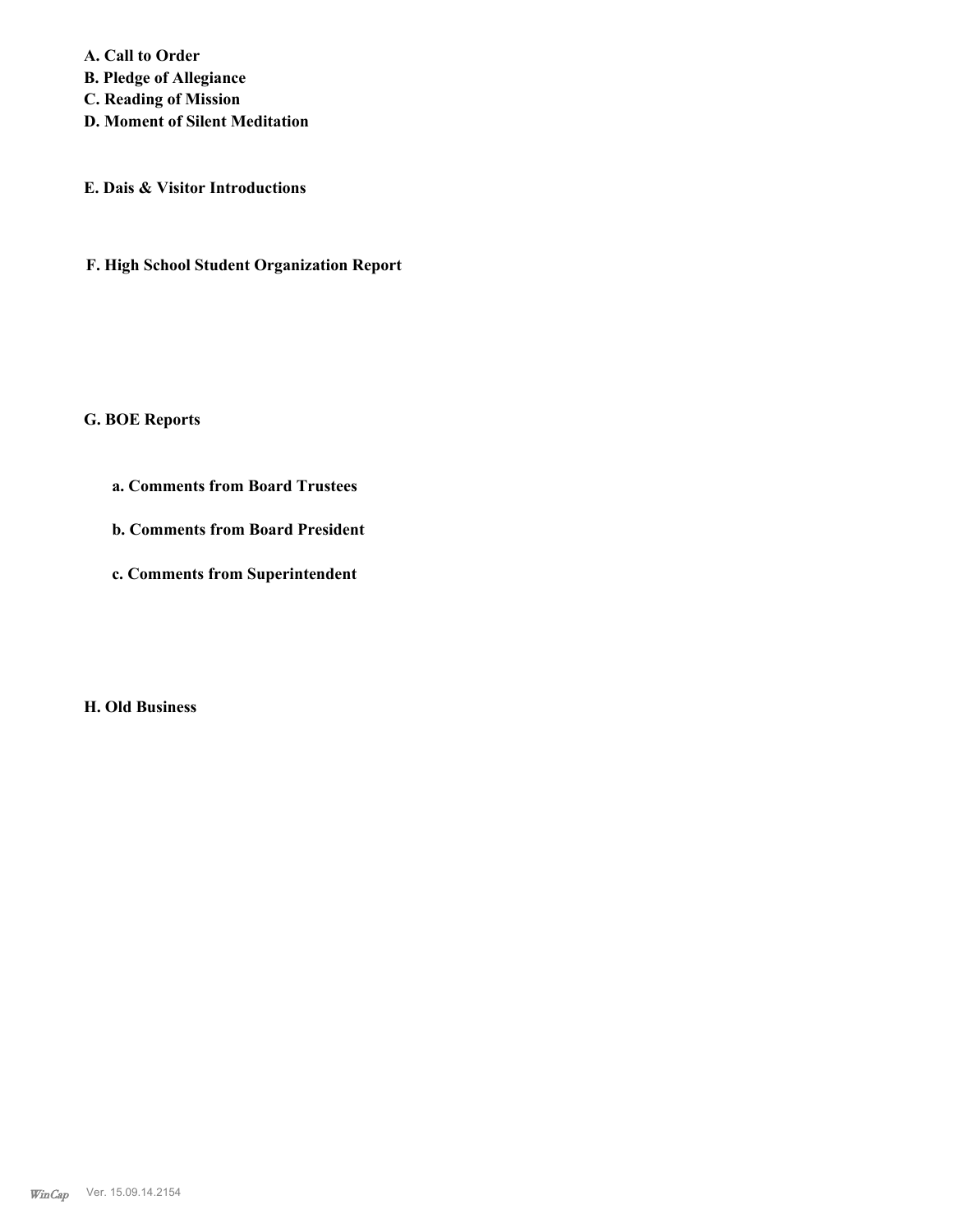**A. Call to Order B. Pledge of Allegiance C. Reading of Mission D. Moment of Silent Meditation**

**E. Dais & Visitor Introductions**

**F. High School Student Organization Report**

**G. BOE Reports**

**a. Comments from Board Trustees**

**b. Comments from Board President**

**c. Comments from Superintendent**

**H. Old Business**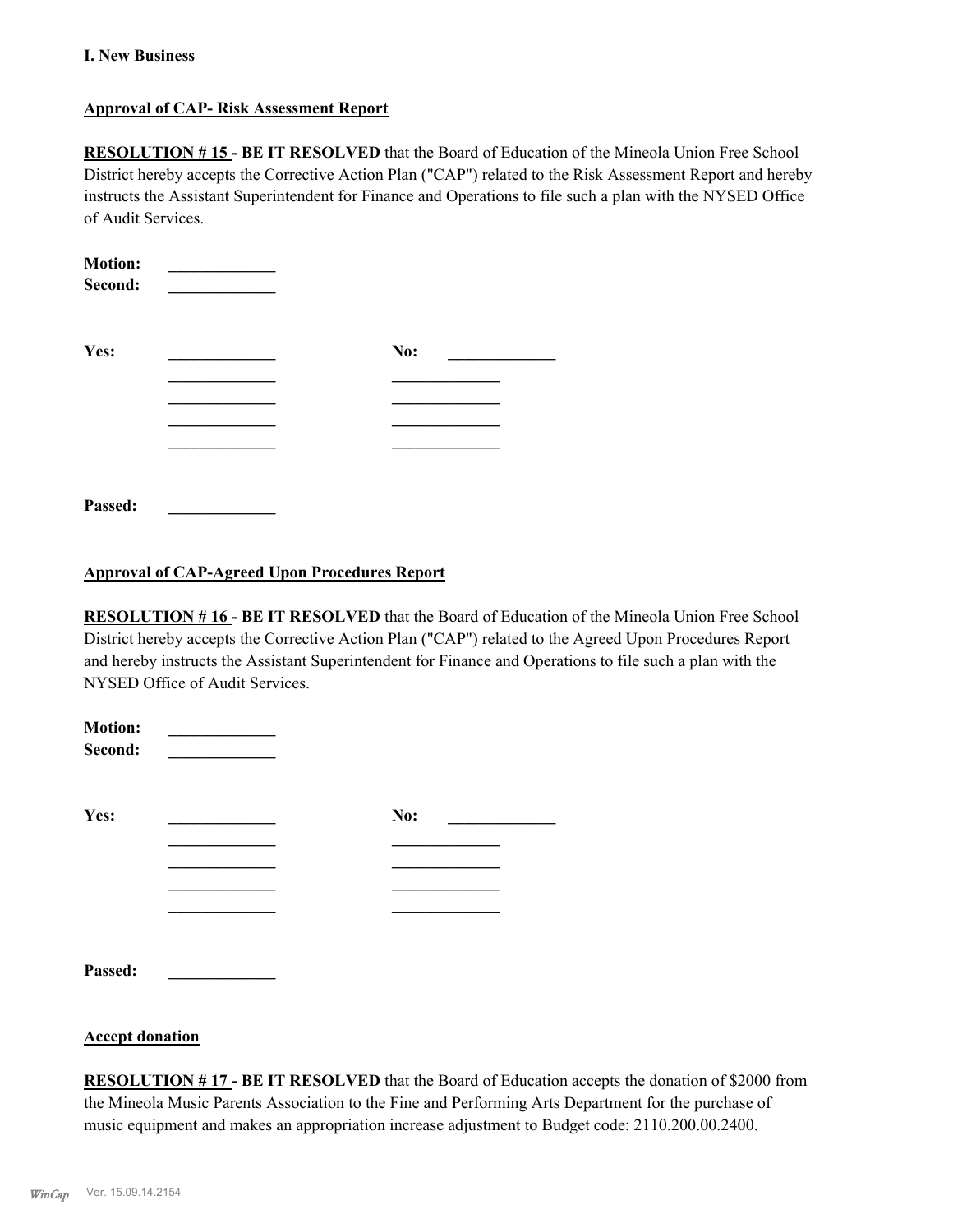# **I. New Business**

# **Approval of CAP- Risk Assessment Report**

**RESOLUTION # 15 - BE IT RESOLVED** that the Board of Education of the Mineola Union Free School District hereby accepts the Corrective Action Plan ("CAP") related to the Risk Assessment Report and hereby instructs the Assistant Superintendent for Finance and Operations to file such a plan with the NYSED Office of Audit Services.

| <b>Motion:</b><br>Second: |     |  |
|---------------------------|-----|--|
| Yes:                      | No: |  |
|                           |     |  |
|                           |     |  |
|                           |     |  |
|                           |     |  |
|                           |     |  |
| Passed:                   |     |  |

# **Approval of CAP-Agreed Upon Procedures Report**

**RESOLUTION # 16 - BE IT RESOLVED** that the Board of Education of the Mineola Union Free School District hereby accepts the Corrective Action Plan ("CAP") related to the Agreed Upon Procedures Report and hereby instructs the Assistant Superintendent for Finance and Operations to file such a plan with the NYSED Office of Audit Services.

| <b>Motion:</b><br>Second: |     |  |
|---------------------------|-----|--|
| Yes:                      | No: |  |
|                           |     |  |
|                           |     |  |
|                           |     |  |
|                           |     |  |
| Passed:                   |     |  |

## **Accept donation**

**RESOLUTION # 17 - BE IT RESOLVED** that the Board of Education accepts the donation of \$2000 from the Mineola Music Parents Association to the Fine and Performing Arts Department for the purchase of music equipment and makes an appropriation increase adjustment to Budget code: 2110.200.00.2400.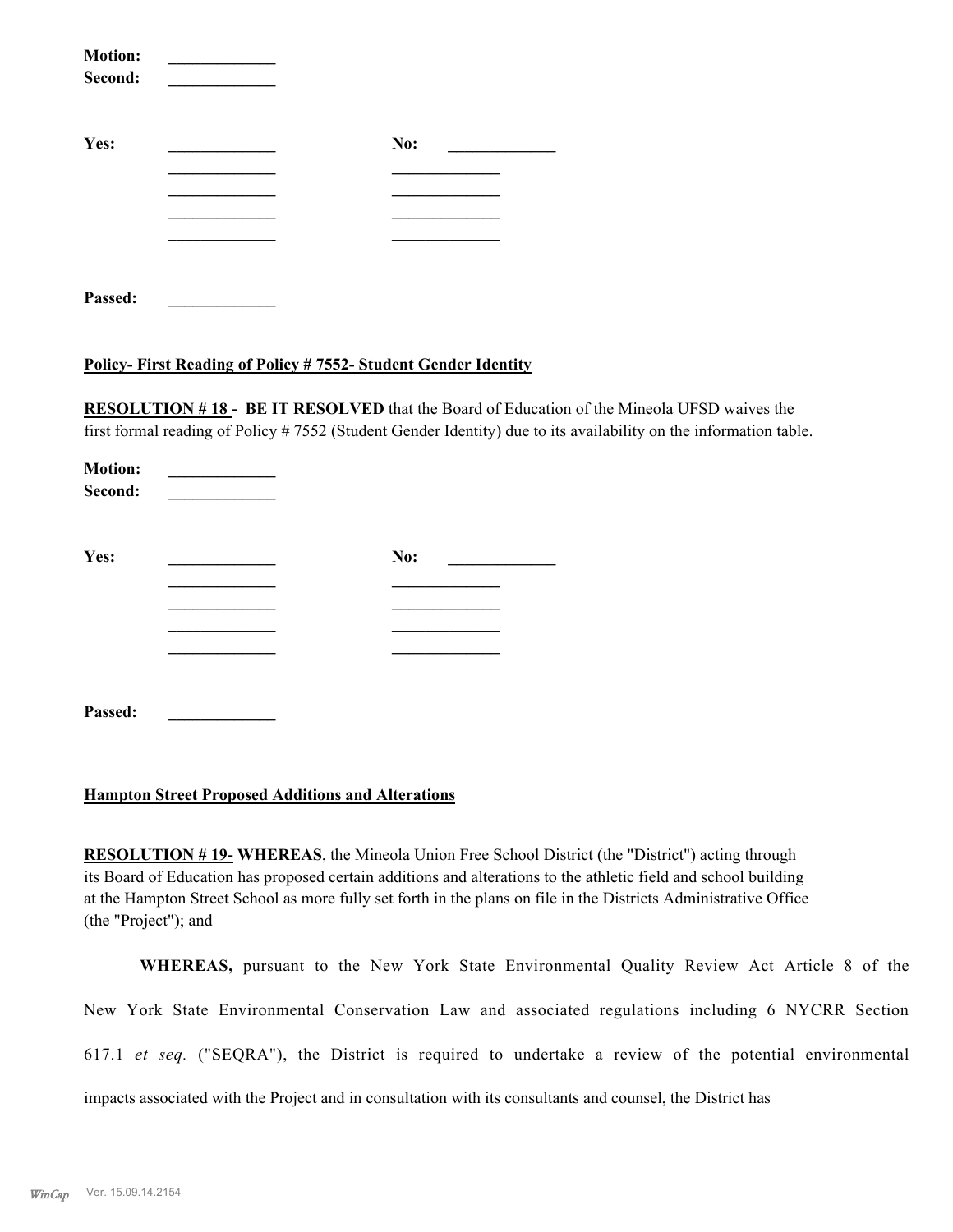| <b>Motion:</b><br>Second: |     |  |
|---------------------------|-----|--|
| Yes:                      | No: |  |
|                           |     |  |
|                           |     |  |
|                           |     |  |
|                           |     |  |
| Passed:                   |     |  |

# **Policy- First Reading of Policy # 7552- Student Gender Identity**

**RESOLUTION # 18 - BE IT RESOLVED** that the Board of Education of the Mineola UFSD waives the first formal reading of Policy # 7552 (Student Gender Identity) due to its availability on the information table.

| <b>Motion:</b><br>Second: |     |  |
|---------------------------|-----|--|
| Yes:                      | No: |  |
|                           |     |  |
|                           |     |  |
|                           |     |  |
| Passed:                   |     |  |

# **Hampton Street Proposed Additions and Alterations**

**RESOLUTION # 19- WHEREAS**, the Mineola Union Free School District (the "District") acting through its Board of Education has proposed certain additions and alterations to the athletic field and school building at the Hampton Street School as more fully set forth in the plans on file in the Districts Administrative Office (the "Project"); and

**WHEREAS,** pursuant to the New York State Environmental Quality Review Act Article 8 of the New York State Environmental Conservation Law and associated regulations including 6 NYCRR Section 617.1 *et seq.* ("SEQRA"), the District is required to undertake a review of the potential environmental impacts associated with the Project and in consultation with its consultants and counsel, the District has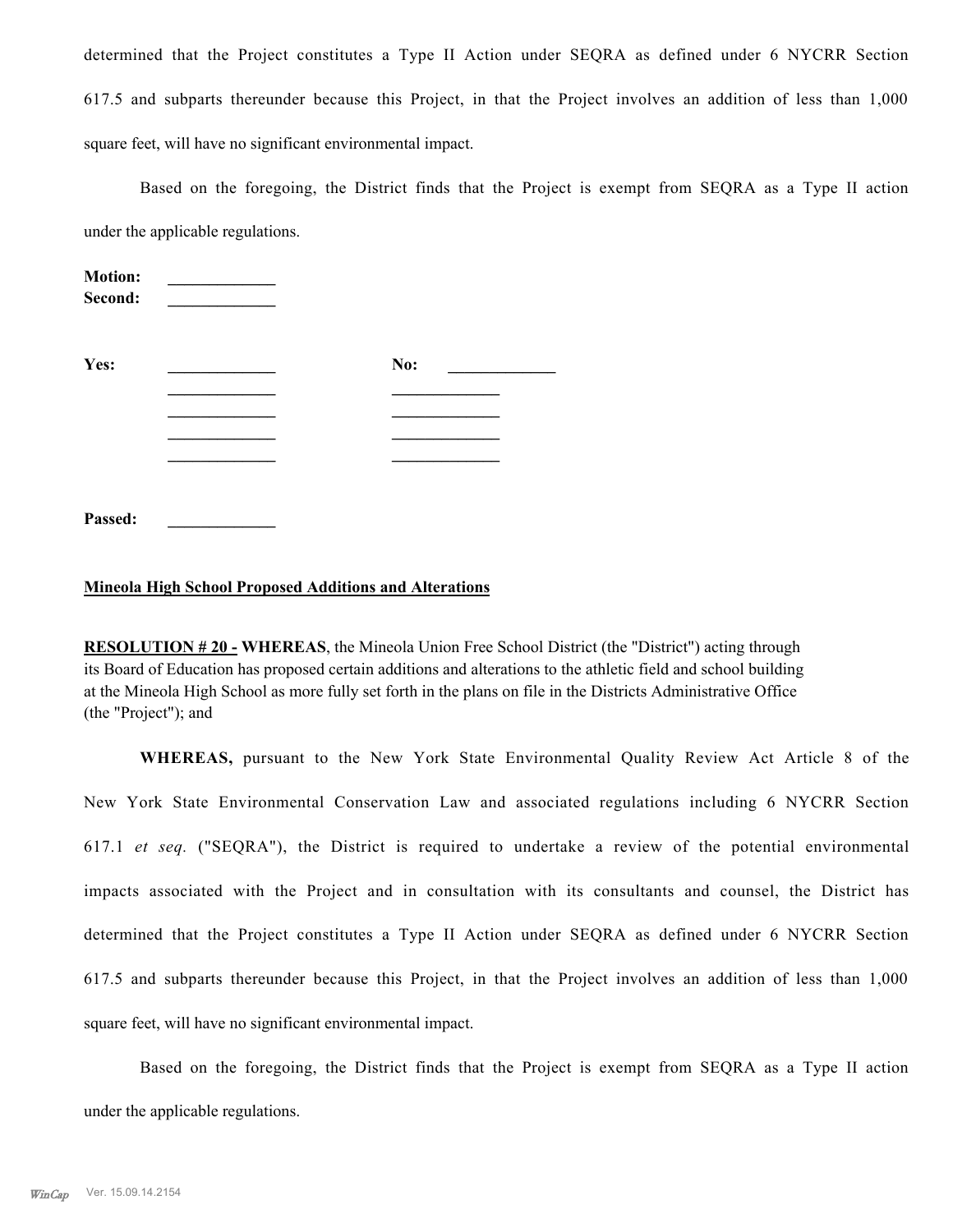determined that the Project constitutes a Type II Action under SEQRA as defined under 6 NYCRR Section 617.5 and subparts thereunder because this Project, in that the Project involves an addition of less than 1,000 square feet, will have no significant environmental impact.

Based on the foregoing, the District finds that the Project is exempt from SEQRA as a Type II action under the applicable regulations.

| <b>Motion:</b><br>Second: |     |  |
|---------------------------|-----|--|
| Yes:                      | No: |  |
|                           |     |  |
|                           |     |  |
|                           |     |  |
|                           |     |  |
|                           |     |  |
| Passed:                   |     |  |

#### **Mineola High School Proposed Additions and Alterations**

**RESOLUTION # 20 - WHEREAS**, the Mineola Union Free School District (the "District") acting through its Board of Education has proposed certain additions and alterations to the athletic field and school building at the Mineola High School as more fully set forth in the plans on file in the Districts Administrative Office (the "Project"); and

**WHEREAS,** pursuant to the New York State Environmental Quality Review Act Article 8 of the New York State Environmental Conservation Law and associated regulations including 6 NYCRR Section 617.1 *et seq.* ("SEQRA"), the District is required to undertake a review of the potential environmental impacts associated with the Project and in consultation with its consultants and counsel, the District has determined that the Project constitutes a Type II Action under SEQRA as defined under 6 NYCRR Section 617.5 and subparts thereunder because this Project, in that the Project involves an addition of less than 1,000 square feet, will have no significant environmental impact.

Based on the foregoing, the District finds that the Project is exempt from SEQRA as a Type II action under the applicable regulations.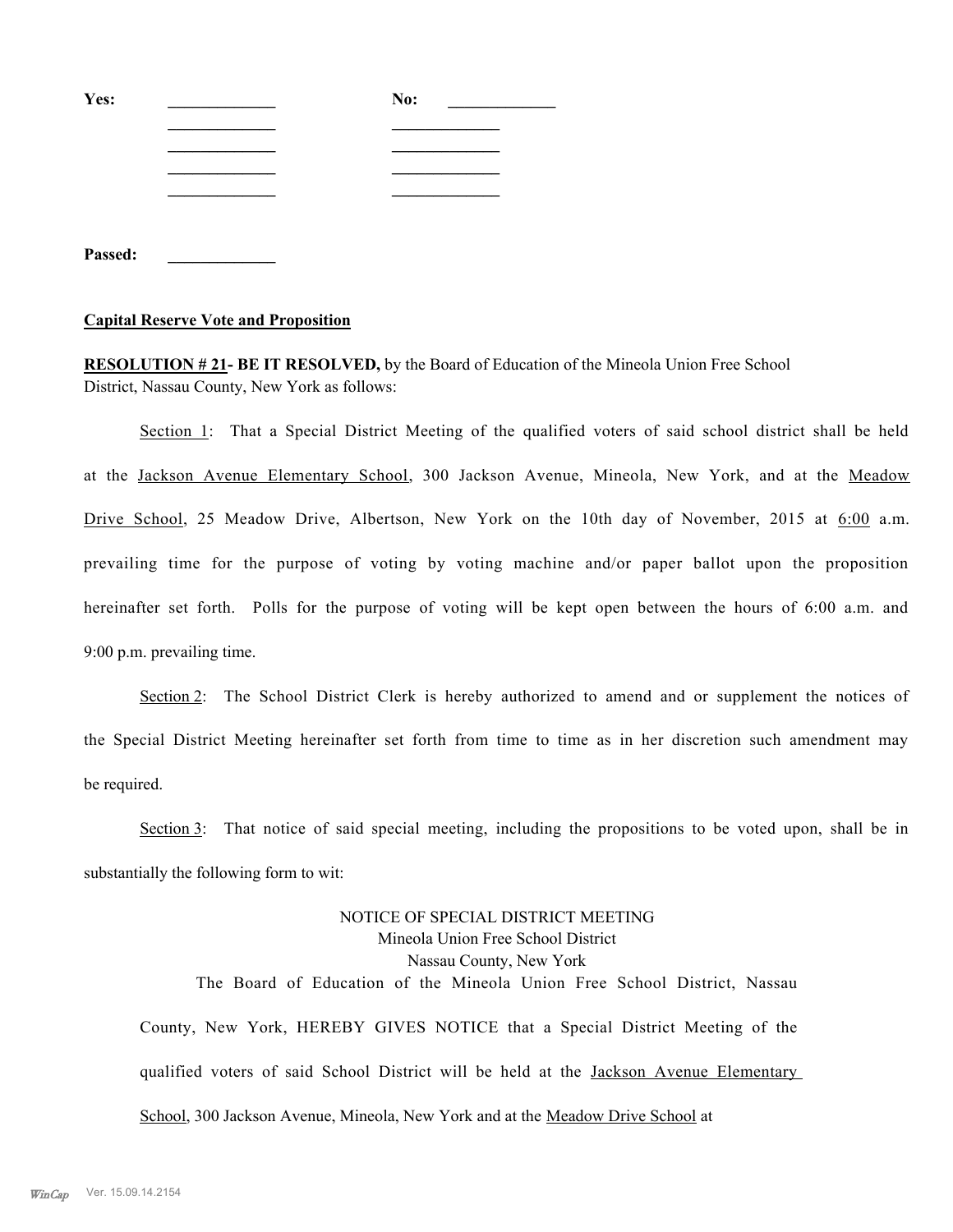| Yes:    | No: |
|---------|-----|
|         |     |
|         |     |
|         |     |
|         |     |
|         |     |
| Passed: |     |

#### **Capital Reserve Vote and Proposition**

**RESOLUTION # 21- BE IT RESOLVED,** by the Board of Education of the Mineola Union Free School District, Nassau County, New York as follows:

Section 1: That a Special District Meeting of the qualified voters of said school district shall be held at the Jackson Avenue Elementary School, 300 Jackson Avenue, Mineola, New York, and at the Meadow Drive School, 25 Meadow Drive, Albertson, New York on the 10th day of November, 2015 at  $6:00$  a.m. prevailing time for the purpose of voting by voting machine and/or paper ballot upon the proposition hereinafter set forth. Polls for the purpose of voting will be kept open between the hours of 6:00 a.m. and 9:00 p.m. prevailing time.

Section 2: The School District Clerk is hereby authorized to amend and or supplement the notices of the Special District Meeting hereinafter set forth from time to time as in her discretion such amendment may be required.

Section 3: That notice of said special meeting, including the propositions to be voted upon, shall be in substantially the following form to wit:

NOTICE OF SPECIAL DISTRICT MEETING Mineola Union Free School District Nassau County, New York The Board of Education of the Mineola Union Free School District, Nassau County, New York, HEREBY GIVES NOTICE that a Special District Meeting of the qualified voters of said School District will be held at the Jackson Avenue Elementary School, 300 Jackson Avenue, Mineola, New York and at the Meadow Drive School at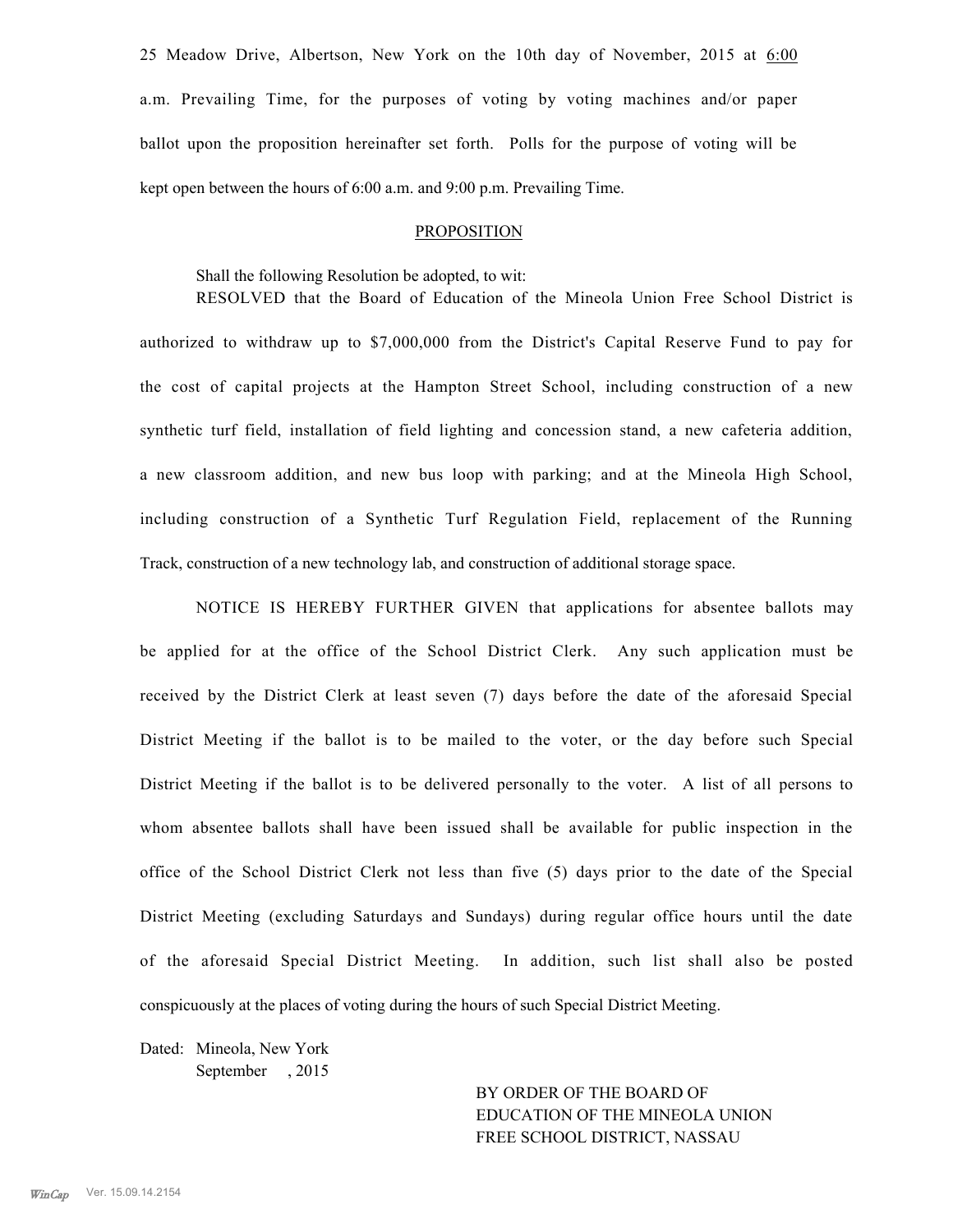25 Meadow Drive, Albertson, New York on the 10th day of November, 2015 at  $6:00$ a.m. Prevailing Time, for the purposes of voting by voting machines and/or paper ballot upon the proposition hereinafter set forth. Polls for the purpose of voting will be kept open between the hours of 6:00 a.m. and 9:00 p.m. Prevailing Time.

#### **PROPOSITION**

Shall the following Resolution be adopted, to wit:

RESOLVED that the Board of Education of the Mineola Union Free School District is authorized to withdraw up to \$7,000,000 from the District's Capital Reserve Fund to pay for the cost of capital projects at the Hampton Street School, including construction of a new synthetic turf field, installation of field lighting and concession stand, a new cafeteria addition, a new classroom addition, and new bus loop with parking; and at the Mineola High School, including construction of a Synthetic Turf Regulation Field, replacement of the Running Track, construction of a new technology lab, and construction of additional storage space.

NOTICE IS HEREBY FURTHER GIVEN that applications for absentee ballots may be applied for at the office of the School District Clerk. Any such application must be received by the District Clerk at least seven (7) days before the date of the aforesaid Special District Meeting if the ballot is to be mailed to the voter, or the day before such Special District Meeting if the ballot is to be delivered personally to the voter. A list of all persons to whom absentee ballots shall have been issued shall be available for public inspection in the office of the School District Clerk not less than five (5) days prior to the date of the Special District Meeting (excluding Saturdays and Sundays) during regular office hours until the date of the aforesaid Special District Meeting. In addition, such list shall also be posted conspicuously at the places of voting during the hours of such Special District Meeting.

Dated: Mineola, New York September , 2015

> BY ORDER OF THE BOARD OF EDUCATION OF THE MINEOLA UNION FREE SCHOOL DISTRICT, NASSAU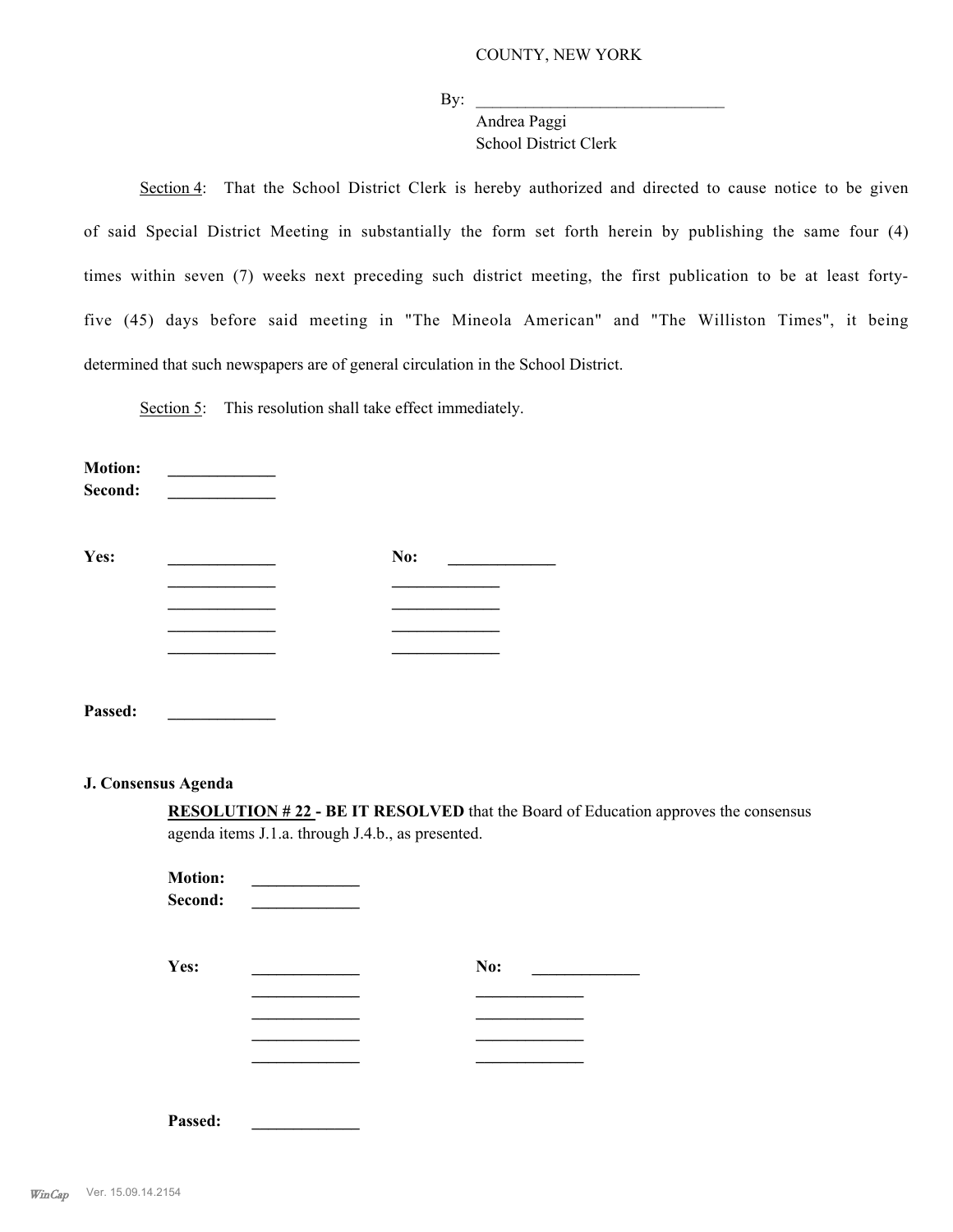$\rm\,By:\,$   $\rm\,$ 

Andrea Paggi School District Clerk

Section 4: That the School District Clerk is hereby authorized and directed to cause notice to be given of said Special District Meeting in substantially the form set forth herein by publishing the same four (4) times within seven (7) weeks next preceding such district meeting, the first publication to be at least fortyfive (45) days before said meeting in "The Mineola American" and "The Williston Times", it being determined that such newspapers are of general circulation in the School District.

Section 5: This resolution shall take effect immediately.

**Motion: Second: \_\_\_\_\_\_\_\_\_\_\_\_\_ Yes: \_\_\_\_\_\_\_\_\_\_\_\_\_ No: \_\_\_\_\_\_\_\_\_\_\_\_\_ \_\_\_\_\_\_\_\_\_\_\_\_\_ \_\_\_\_\_\_\_\_\_\_\_\_\_ \_\_\_\_\_\_\_\_\_\_\_\_\_ \_\_\_\_\_\_\_\_\_\_\_\_\_**

**Passed: \_\_\_\_\_\_\_\_\_\_\_\_\_**

## **J. Consensus Agenda**

**RESOLUTION # 22 - BE IT RESOLVED** that the Board of Education approves the consensus agenda items J.1.a. through J.4.b., as presented.

**Motion:** \_\_\_\_\_\_\_\_\_ **Second: \_\_\_\_\_\_\_\_\_\_\_\_\_ Yes: No:** <u>\_\_\_\_\_\_\_\_\_\_\_\_\_\_\_\_</u> No: <u>\_\_\_\_\_\_</u> **\_\_\_\_\_\_\_\_\_\_\_\_\_ \_\_\_\_\_\_\_\_\_\_\_\_\_ \_\_\_\_\_\_\_\_\_\_\_\_\_ \_\_\_\_\_\_\_\_\_\_\_\_\_ \_\_\_\_\_\_\_\_\_\_\_\_\_ \_\_\_\_\_\_\_\_\_\_\_\_\_ \_\_\_\_\_\_\_\_\_\_\_\_\_ \_\_\_\_\_\_\_\_\_\_\_\_\_**

**Passed: \_\_\_\_\_\_\_\_\_\_\_\_\_**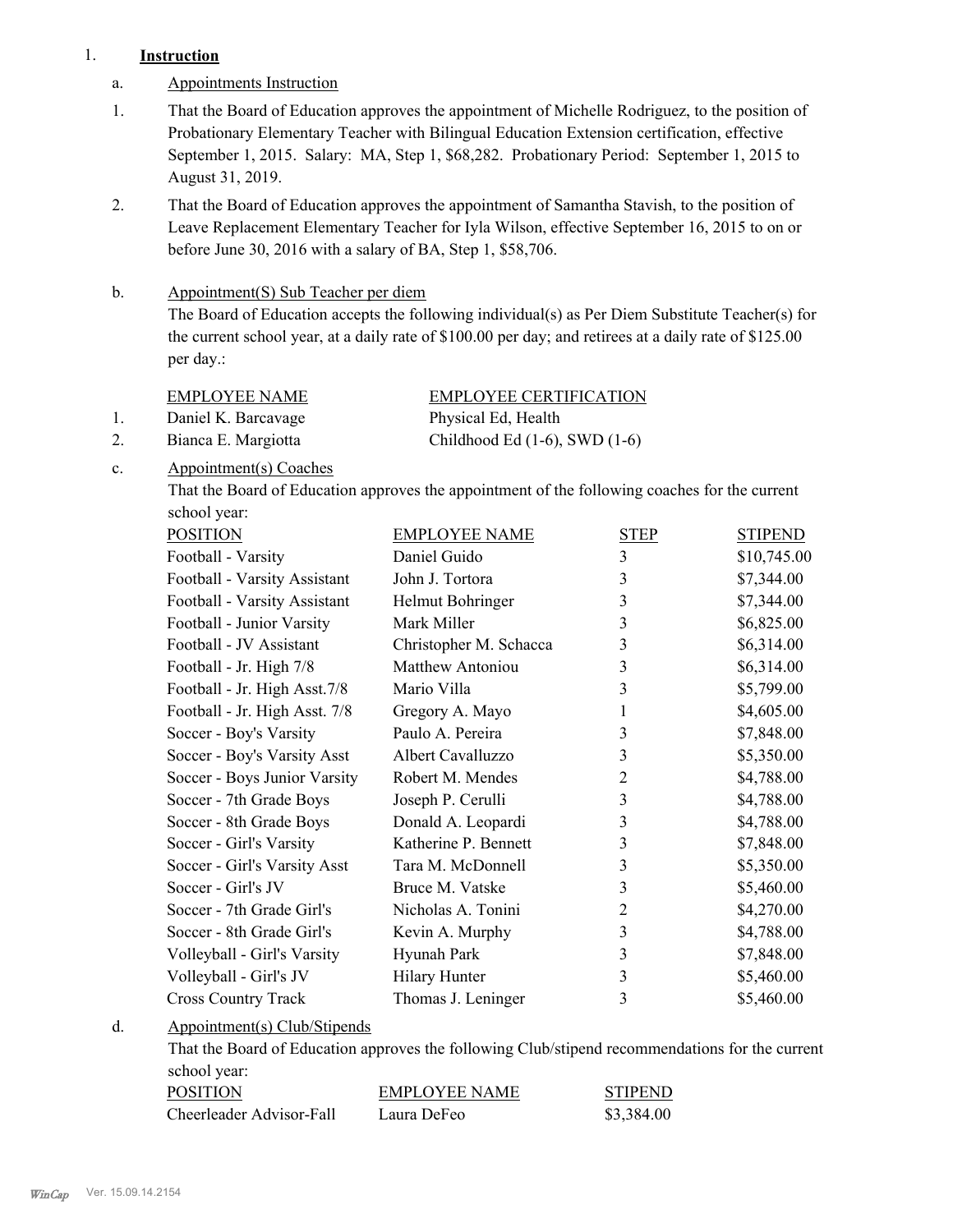# 1. **Instruction**

- a. Appointments Instruction
- That the Board of Education approves the appointment of Michelle Rodriguez, to the position of Probationary Elementary Teacher with Bilingual Education Extension certification, effective September 1, 2015. Salary: MA, Step 1, \$68,282. Probationary Period: September 1, 2015 to August 31, 2019. 1.
- That the Board of Education approves the appointment of Samantha Stavish, to the position of Leave Replacement Elementary Teacher for Iyla Wilson, effective September 16, 2015 to on or before June 30, 2016 with a salary of BA, Step 1, \$58,706. 2.

#### Appointment(S) Sub Teacher per diem b.

The Board of Education accepts the following individual(s) as Per Diem Substitute Teacher(s) for the current school year, at a daily rate of \$100.00 per day; and retirees at a daily rate of \$125.00 per day.:

EMPLOYEE NAME EMPLOYEE CERTIFICATION

1. Daniel K. Barcavage Physical Ed, Health

2. Bianca E. Margiotta Childhood Ed (1-6), SWD (1-6)

Appointment(s) Coaches c.

> That the Board of Education approves the appointment of the following coaches for the current school year:

| <b>POSITION</b>               | <b>EMPLOYEE NAME</b>    | <b>STEP</b>    | <b>STIPEND</b> |
|-------------------------------|-------------------------|----------------|----------------|
| Football - Varsity            | Daniel Guido            | 3              | \$10,745.00    |
| Football - Varsity Assistant  | John J. Tortora         | 3              | \$7,344.00     |
| Football - Varsity Assistant  | Helmut Bohringer        | 3              | \$7,344.00     |
| Football - Junior Varsity     | Mark Miller             | 3              | \$6,825.00     |
| Football - JV Assistant       | Christopher M. Schacca  | 3              | \$6,314.00     |
| Football - Jr. High 7/8       | <b>Matthew Antoniou</b> | 3              | \$6,314.00     |
| Football - Jr. High Asst. 7/8 | Mario Villa             | 3              | \$5,799.00     |
| Football - Jr. High Asst. 7/8 | Gregory A. Mayo         | 1              | \$4,605.00     |
| Soccer - Boy's Varsity        | Paulo A. Pereira        | 3              | \$7,848.00     |
| Soccer - Boy's Varsity Asst   | Albert Cavalluzzo       | 3              | \$5,350.00     |
| Soccer - Boys Junior Varsity  | Robert M. Mendes        | $\overline{2}$ | \$4,788.00     |
| Soccer - 7th Grade Boys       | Joseph P. Cerulli       | 3              | \$4,788.00     |
| Soccer - 8th Grade Boys       | Donald A. Leopardi      | 3              | \$4,788.00     |
| Soccer - Girl's Varsity       | Katherine P. Bennett    | 3              | \$7,848.00     |
| Soccer - Girl's Varsity Asst  | Tara M. McDonnell       | 3              | \$5,350.00     |
| Soccer - Girl's JV            | Bruce M. Vatske         | 3              | \$5,460.00     |
| Soccer - 7th Grade Girl's     | Nicholas A. Tonini      | $\overline{2}$ | \$4,270.00     |
| Soccer - 8th Grade Girl's     | Kevin A. Murphy         | 3              | \$4,788.00     |
| Volleyball - Girl's Varsity   | Hyunah Park             | 3              | \$7,848.00     |
| Volleyball - Girl's JV        | <b>Hilary Hunter</b>    | 3              | \$5,460.00     |
| <b>Cross Country Track</b>    | Thomas J. Leninger      | 3              | \$5,460.00     |

Appointment(s) Club/Stipends d.

> That the Board of Education approves the following Club/stipend recommendations for the current school year:

| POSITION                 | EMPLOYEE NAME | <b>STIPEND</b> |
|--------------------------|---------------|----------------|
| Cheerleader Advisor-Fall | Laura DeFeo   | \$3,384.00     |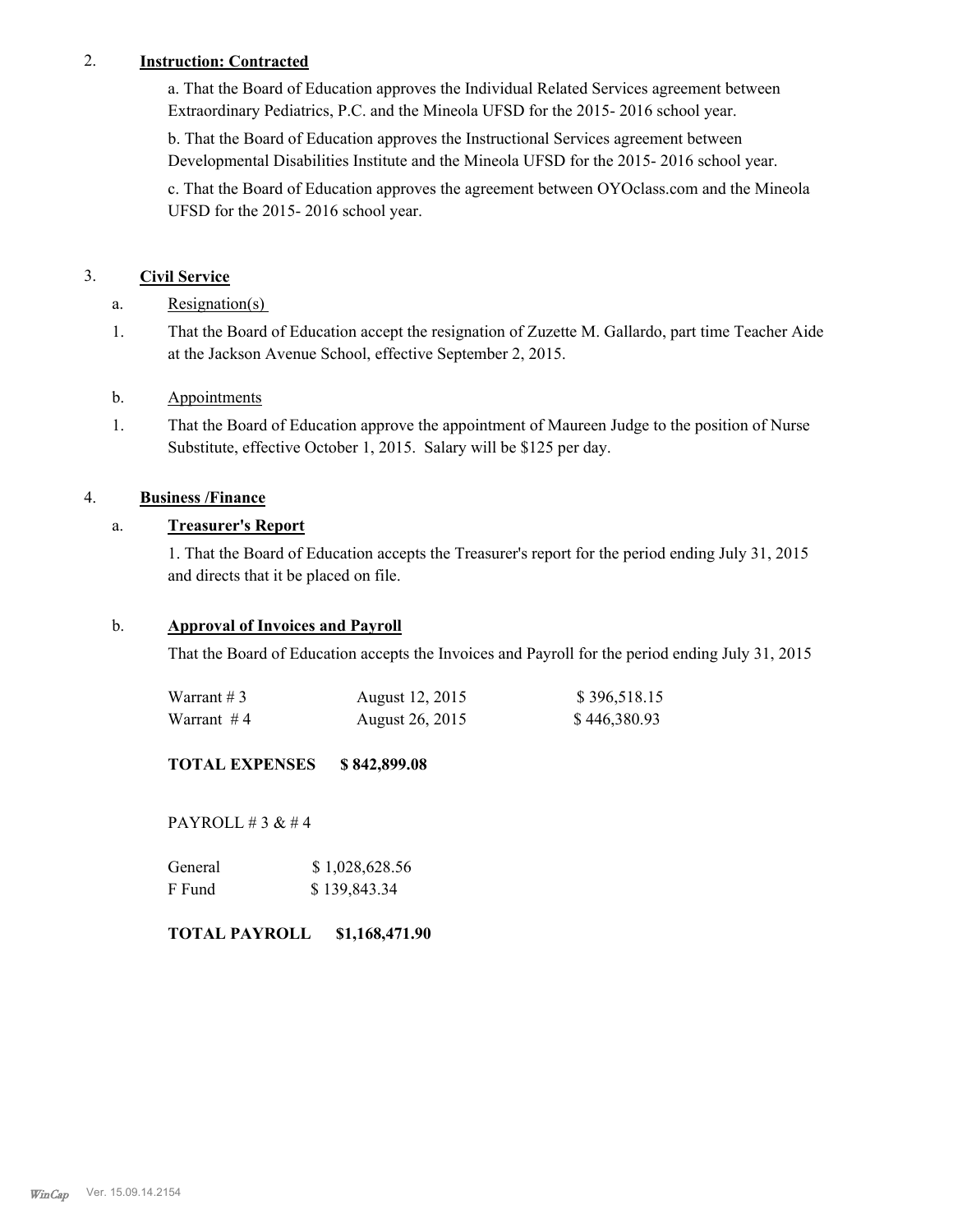# 2. **Instruction: Contracted**

a. That the Board of Education approves the Individual Related Services agreement between Extraordinary Pediatrics, P.C. and the Mineola UFSD for the 2015- 2016 school year.

b. That the Board of Education approves the Instructional Services agreement between Developmental Disabilities Institute and the Mineola UFSD for the 2015- 2016 school year.

c. That the Board of Education approves the agreement between OYOclass.com and the Mineola UFSD for the 2015- 2016 school year.

# 3. **Civil Service**

a. Resignation(s)

That the Board of Education accept the resignation of Zuzette M. Gallardo, part time Teacher Aide at the Jackson Avenue School, effective September 2, 2015. 1.

# b. Appointments

That the Board of Education approve the appointment of Maureen Judge to the position of Nurse Substitute, effective October 1, 2015. Salary will be \$125 per day. 1.

# 4. **Business /Finance**

# a. **Treasurer's Report**

1. That the Board of Education accepts the Treasurer's report for the period ending July 31, 2015 and directs that it be placed on file.

# b. **Approval of Invoices and Payroll**

That the Board of Education accepts the Invoices and Payroll for the period ending July 31, 2015

| Warrant $# 3$ | August 12, 2015 | \$396,518.15 |
|---------------|-----------------|--------------|
| Warrant $#4$  | August 26, 2015 | \$446,380.93 |

## **TOTAL EXPENSES \$ 842,899.08**

PAYROLL  $# 3 \& # 4$ 

| General | \$1,028,628.56 |
|---------|----------------|
| F Fund  | \$139,843.34   |

# **TOTAL PAYROLL \$1,168,471.90**